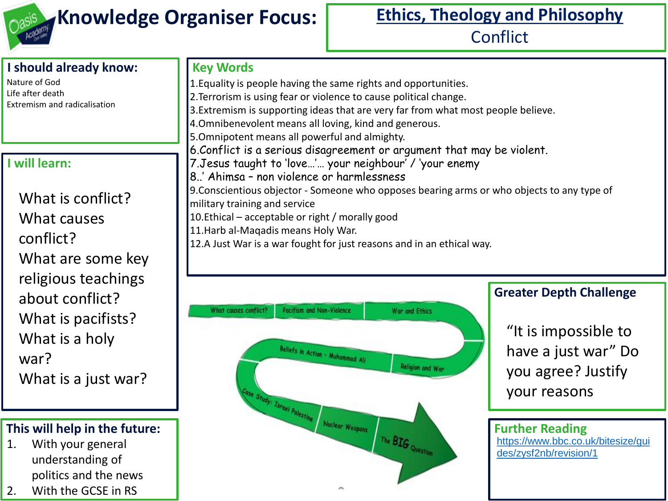

**Key Words**

# **Knowledge Organiser Focus:** Ethics, Theology and Philosophy

**Conflict** 

### **I should already know:**

Nature of God Life after death Extremism and radicalisation

#### **I will learn:**

What is conflict? What causes conflict? What are some key religious teachings about conflict? What is pacifists? What is a holy war? What is a just war?

#### **This will help in the future:**

- 1. With your general understanding of politics and the news
- 2. With the GCSE in RS

1.Equality is people having the same rights and opportunities. 2.Terrorism is using fear or violence to cause political change. 3.Extremism is supporting ideas that are very far from what most people believe. 4.Omnibenevolent means all loving, kind and generous. 5.Omnipotent means all powerful and almighty. 6.Conflict is a serious disagreement or argument that may be violent. 7.Jesus taught to 'love…'… your neighbour' / 'your enemy 8..' Ahimsa – non violence or harmlessness 9.Conscientious objector - Someone who opposes bearing arms or who objects to any type of military training and service 10.Ethical – acceptable or right / morally good 11.Harb al-Maqadis means Holy War. 12.A Just War is a war fought for just reasons and in an ethical way.



#### **Greater Depth Challenge**

"It is impossible to have a just war" Do you agree? Justify your reasons

**Further Reading** [https://www.bbc.co.uk/bitesize/gui](https://www.bbc.co.uk/bitesize/guides/zysf2nb/revision/1) des/zysf2nb/revision/1